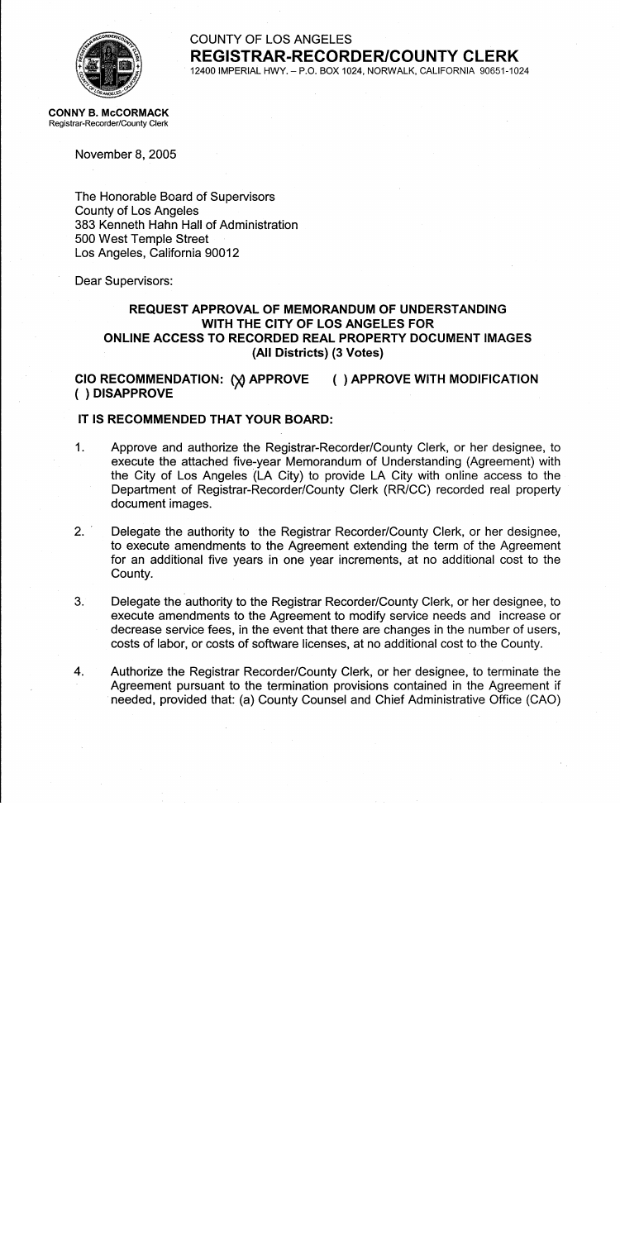

### **COUNTY OF LOS ANGELES REGISTRAR-RECORDER/COUNTY CLERK** 12400 IMPERIAL HWY. - P.O. BOX 1024, NORWALK, CALIFORNIA 90651-1024

**CONNY B. McCORMACK** Registrar-Recorder/County Clerk

November 8, 2005

The Honorable Board of Supervisors **County of Los Angeles** 383 Kenneth Hahn Hall of Administration 500 West Temple Street Los Angeles, California 90012

Dear Supervisors:

## REQUEST APPROVAL OF MEMORANDUM OF UNDERSTANDING WITH THE CITY OF LOS ANGELES FOR ONLINE ACCESS TO RECORDED REAL PROPERTY DOCUMENT IMAGES (All Districts) (3 Votes)

#### CIO RECOMMENDATION: (X) APPROVE () APPROVE WITH MODIFICATION () DISAPPROVE

### IT IS RECOMMENDED THAT YOUR BOARD:

- $1<sub>1</sub>$ Approve and authorize the Registrar-Recorder/County Clerk, or her designee, to execute the attached five-year Memorandum of Understanding (Agreement) with the City of Los Angeles (LA City) to provide LA City with online access to the Department of Registrar-Recorder/County Clerk (RR/CC) recorded real property document images.
- $2.$ Delegate the authority to the Registrar Recorder/County Clerk, or her designee, to execute amendments to the Agreement extending the term of the Agreement for an additional five years in one year increments, at no additional cost to the County.
- $3.$ Delegate the authority to the Registrar Recorder/County Clerk, or her designee, to execute amendments to the Agreement to modify service needs and increase or decrease service fees, in the event that there are changes in the number of users, costs of labor, or costs of software licenses, at no additional cost to the County.
- $\overline{4}$ . Authorize the Registrar Recorder/County Clerk, or her designee, to terminate the Agreement pursuant to the termination provisions contained in the Agreement if needed, provided that: (a) County Counsel and Chief Administrative Office (CAO)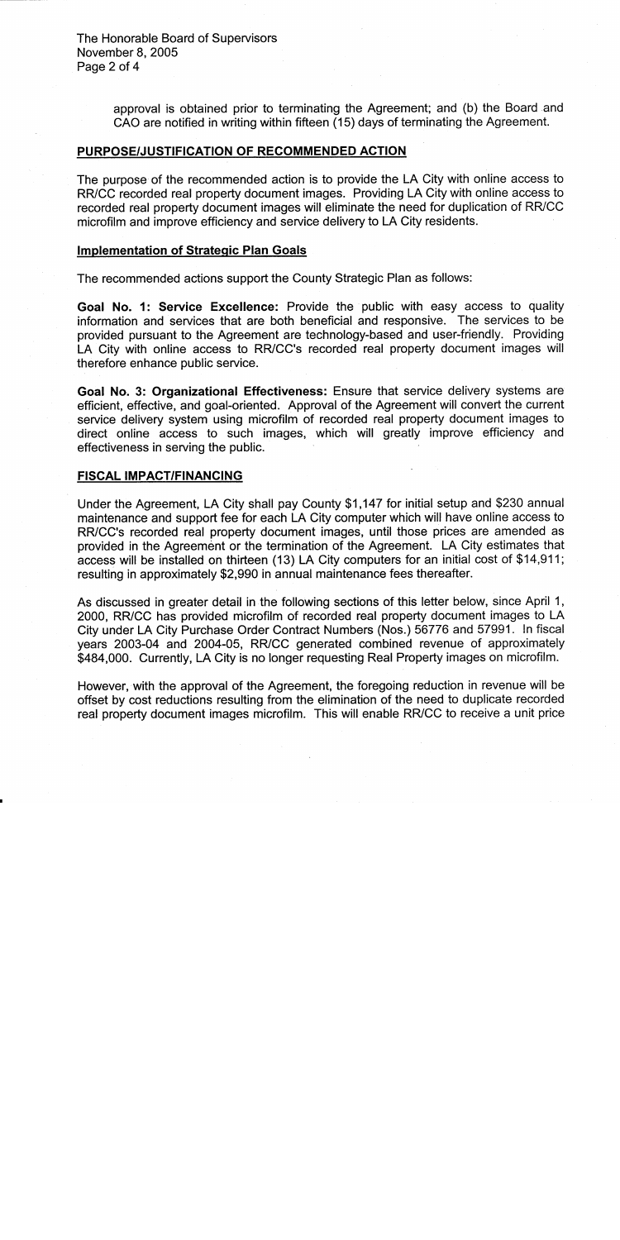The Honorable Board of Supervisors November 8, 2005 Page 2 of 4

> approval is obtained prior to terminating the Agreement; and (b) the Board and CAO are notified in writing within fifteen (15) days of terminating the Agreement.

#### PURPOSE/JUSTIFICATION OF RECOMMENDED ACTION

The purpose of the recommended action is to provide the LA City with online access to RR/CC recorded real property document images. Providing LA City with online access to recorded real property document images will eliminate the need for duplication of RR/CC microfilm and improve efficiency and service delivery to LA City residents.

#### **Implementation of Strategic Plan Goals**

The recommended actions support the County Strategic Plan as follows:

Goal No. 1: Service Excellence: Provide the public with easy access to quality information and services that are both beneficial and responsive. The services to be provided pursuant to the Agreement are technology-based and user-friendly. Providing LA City with online access to RR/CC's recorded real property document images will therefore enhance public service.

Goal No. 3: Organizational Effectiveness: Ensure that service delivery systems are efficient, effective, and goal-oriented. Approval of the Agreement will convert the current service delivery system using microfilm of recorded real property document images to direct online access to such images, which will greatly improve efficiency and effectiveness in serving the public.

#### **FISCAL IMPACT/FINANCING**

Under the Agreement, LA City shall pay County \$1,147 for initial setup and \$230 annual maintenance and support fee for each LA City computer which will have online access to RR/CC's recorded real property document images, until those prices are amended as provided in the Agreement or the termination of the Agreement. LA City estimates that access will be installed on thirteen (13) LA City computers for an initial cost of \$14,911; resulting in approximately \$2,990 in annual maintenance fees thereafter.

As discussed in greater detail in the following sections of this letter below, since April 1, 2000, RR/CC has provided microfilm of recorded real property document images to LA City under LA City Purchase Order Contract Numbers (Nos.) 56776 and 57991. In fiscal years 2003-04 and 2004-05, RR/CC generated combined revenue of approximately \$484,000. Currently, LA City is no longer requesting Real Property images on microfilm.

However, with the approval of the Agreement, the foregoing reduction in revenue will be offset by cost reductions resulting from the elimination of the need to duplicate recorded real property document images microfilm. This will enable RR/CC to receive a unit price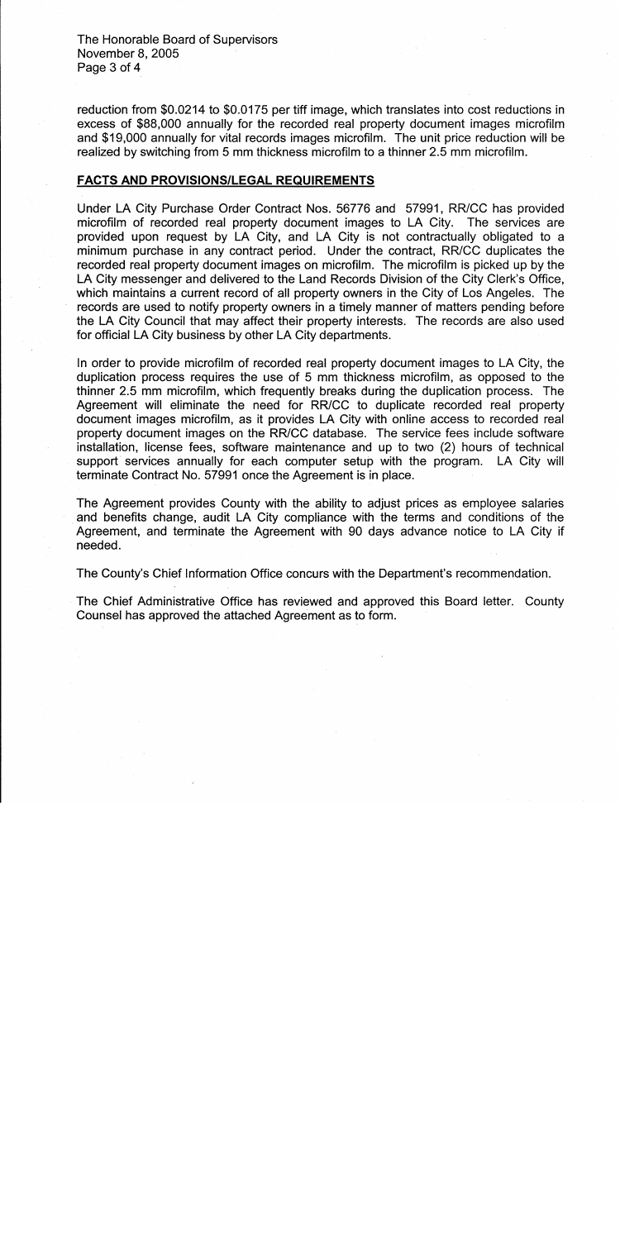The Honorable Board of Supervisors November 8, 2005 Page 3 of 4

reduction from \$0.0214 to \$0.0175 per tiff image, which translates into cost reductions in excess of \$88,000 annually for the recorded real property document images microfilm and \$19,000 annually for vital records images microfilm. The unit price reduction will be realized by switching from 5 mm thickness microfilm to a thinner 2.5 mm microfilm.

#### **FACTS AND PROVISIONS/LEGAL REQUIREMENTS**

Under LA City Purchase Order Contract Nos. 56776 and 57991, RR/CC has provided microfilm of recorded real property document images to LA City. The services are provided upon request by LA City, and LA City is not contractually obligated to a minimum purchase in any contract period. Under the contract, RR/CC duplicates the recorded real property document images on microfilm. The microfilm is picked up by the LA City messenger and delivered to the Land Records Division of the City Clerk's Office, which maintains a current record of all property owners in the City of Los Angeles. The records are used to notify property owners in a timely manner of matters pending before the LA City Council that may affect their property interests. The records are also used for official LA City business by other LA City departments.

In order to provide microfilm of recorded real property document images to LA City, the duplication process requires the use of 5 mm thickness microfilm, as opposed to the thinner 2.5 mm microfilm, which frequently breaks during the duplication process. The Agreement will eliminate the need for RR/CC to duplicate recorded real property document images microfilm, as it provides LA City with online access to recorded real property document images on the RR/CC database. The service fees include software installation, license fees, software maintenance and up to two (2) hours of technical support services annually for each computer setup with the program. LA City will terminate Contract No. 57991 once the Agreement is in place.

The Agreement provides County with the ability to adjust prices as employee salaries and benefits change, audit LA City compliance with the terms and conditions of the Agreement, and terminate the Agreement with 90 days advance notice to LA City if needed.

The County's Chief Information Office concurs with the Department's recommendation.

The Chief Administrative Office has reviewed and approved this Board letter. County Counsel has approved the attached Agreement as to form.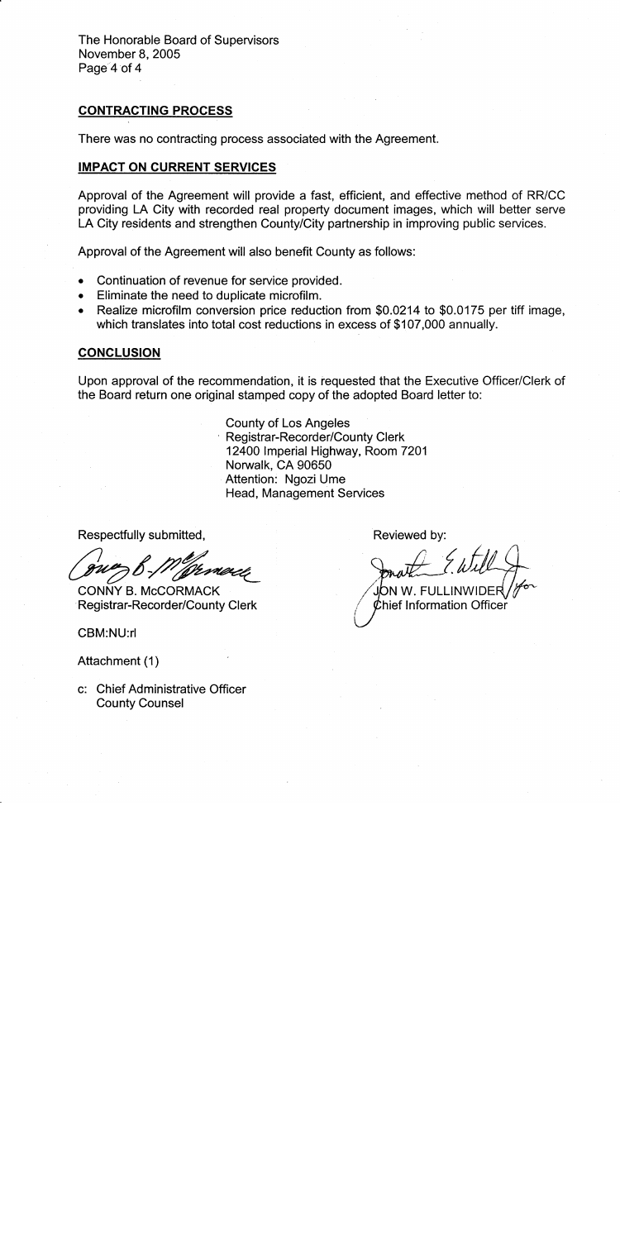The Honorable Board of Supervisors November 8, 2005 Page 4 of 4

### **CONTRACTING PROCESS**

There was no contracting process associated with the Agreement.

### **IMPACT ON CURRENT SERVICES**

Approval of the Agreement will provide a fast, efficient, and effective method of RR/CC providing LA City with recorded real property document images, which will better serve LA City residents and strengthen County/City partnership in improving public services.

Approval of the Agreement will also benefit County as follows:

- Continuation of revenue for service provided.  $\bullet$
- Eliminate the need to duplicate microfilm.
- Realize microfilm conversion price reduction from \$0.0214 to \$0.0175 per tiff image, which translates into total cost reductions in excess of \$107,000 annually.

### **CONCLUSION**

Upon approval of the recommendation, it is requested that the Executive Officer/Clerk of the Board return one original stamped copy of the adopted Board letter to:

> **County of Los Angeles Registrar-Recorder/County Clerk** 12400 Imperial Highway, Room 7201 Norwalk, CA 90650 Attention: Ngozi Ume Head, Management Services

Respectfully submitted,

CONNY B. McCORMACK Registrar-Recorder/County Clerk

CBM:NU:rl

Attachment (1)

c: Chief Administrative Officer **County Counsel** 

Reviewed by:

JON W. FULLINWIDER

Chief Information Officer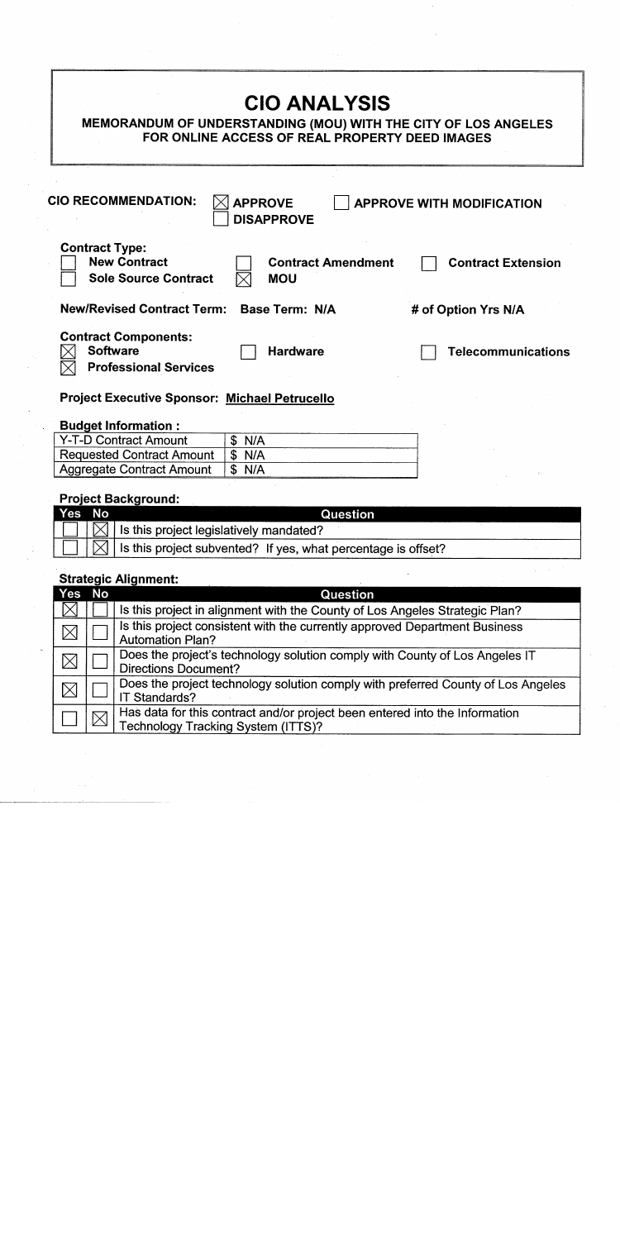| <b>CIO ANALYSIS</b><br>MEMORANDUM OF UNDERSTANDING (MOU) WITH THE CITY OF LOS ANGELES<br>FOR ONLINE ACCESS OF REAL PROPERTY DEED IMAGES             |
|-----------------------------------------------------------------------------------------------------------------------------------------------------|
| <b>CIO RECOMMENDATION:</b><br><b>APPROVE</b><br><b>APPROVE WITH MODIFICATION</b><br><b>DISAPPROVE</b>                                               |
| <b>Contract Type:</b><br><b>New Contract</b><br><b>Contract Amendment</b><br><b>Contract Extension</b><br><b>Sole Source Contract</b><br><b>MOU</b> |
| <b>New/Revised Contract Term:</b><br>Base Term: N/A<br># of Option Yrs N/A                                                                          |
| <b>Contract Components:</b><br><b>Software</b><br><b>Hardware</b><br><b>Telecommunications</b><br><b>Professional Services</b>                      |
| <b>Project Executive Sponsor: Michael Petrucello</b>                                                                                                |
| <b>Budget Information:</b>                                                                                                                          |

#### $\begin{array}{c|c}\n\hline\n\text{\$ N/A} \\
\hline\n\text{\$ N/A}\n\end{array}$ Y-T-D Contract Amount Requested Contract Amount<br>Aggregate Contract Amount  $\overline{\$~N/A}$

# **Project Background:**

| Yes No | Question                                                                               |  |
|--------|----------------------------------------------------------------------------------------|--|
|        | $\Box$ $\Box$ is this project legislatively mandated?                                  |  |
|        | $ \Box $ $\boxtimes$ $ $ is this project subvented? If yes, what percentage is offset? |  |

## **Strategic Alignment:**

| Yes                    | <b>No</b>   | <b>Question</b>                                                                                                          |
|------------------------|-------------|--------------------------------------------------------------------------------------------------------------------------|
| $\mathsf{I}\mathsf{X}$ |             | Is this project in alignment with the County of Los Angeles Strategic Plan?                                              |
| $\boxtimes$            |             | Is this project consistent with the currently approved Department Business<br><b>Automation Plan?</b>                    |
| IX                     |             | Does the project's technology solution comply with County of Los Angeles IT<br><b>Directions Document?</b>               |
| $\boxtimes$            |             | Does the project technology solution comply with preferred County of Los Angeles<br>IT Standards?                        |
|                        | $\boxtimes$ | Has data for this contract and/or project been entered into the Information<br><b>Technology Tracking System (ITTS)?</b> |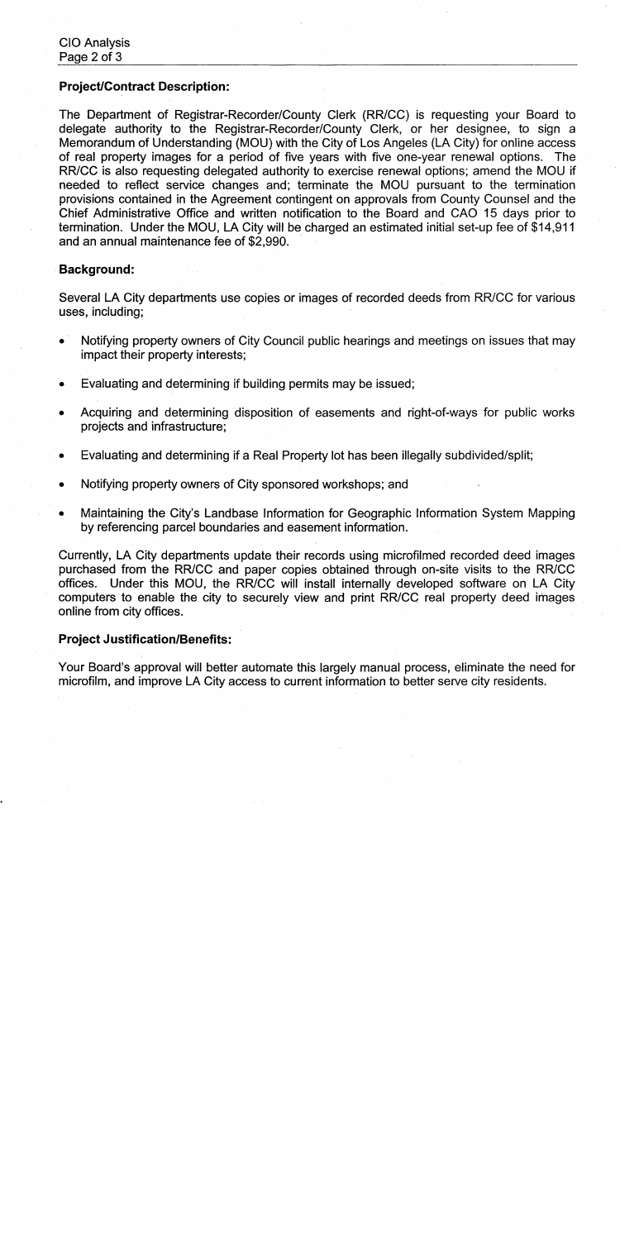### **Project/Contract Description:**

The Department of Registrar-Recorder/County Clerk (RR/CC) is requesting your Board to delegate authority to the Registrar-Recorder/County Clerk, or her designee, to sign a Memorandum of Understanding (MOU) with the City of Los Angeles (LA City) for online access of real property images for a period of five years with five one-year renewal options. The RR/CC is also requesting delegated authority to exercise renewal options; amend the MOU if needed to reflect service changes and; terminate the MOU pursuant to the termination provisions contained in the Agreement contingent on approvals from County Counsel and the Chief Administrative Office and written notification to the Board and CAO 15 days prior to termination. Under the MOU, LA City will be charged an estimated initial set-up fee of \$14,911 and an annual maintenance fee of \$2,990.

### **Background:**

Several LA City departments use copies or images of recorded deeds from RR/CC for various uses, including;

- Notifying property owners of City Council public hearings and meetings on issues that may impact their property interests;
- Evaluating and determining if building permits may be issued;  $\bullet$
- Acquiring and determining disposition of easements and right-of-ways for public works projects and infrastructure;
- Evaluating and determining if a Real Property lot has been illegally subdivided/split;
- Notifying property owners of City sponsored workshops; and
- Maintaining the City's Landbase Information for Geographic Information System Mapping by referencing parcel boundaries and easement information.

Currently, LA City departments update their records using microfilmed recorded deed images purchased from the RR/CC and paper copies obtained through on-site visits to the RR/CC offices. Under this MOU, the RR/CC will install internally developed software on LA City computers to enable the city to securely view and print RR/CC real property deed images online from city offices.

### **Project Justification/Benefits:**

Your Board's approval will better automate this largely manual process, eliminate the need for microfilm, and improve LA City access to current information to better serve city residents.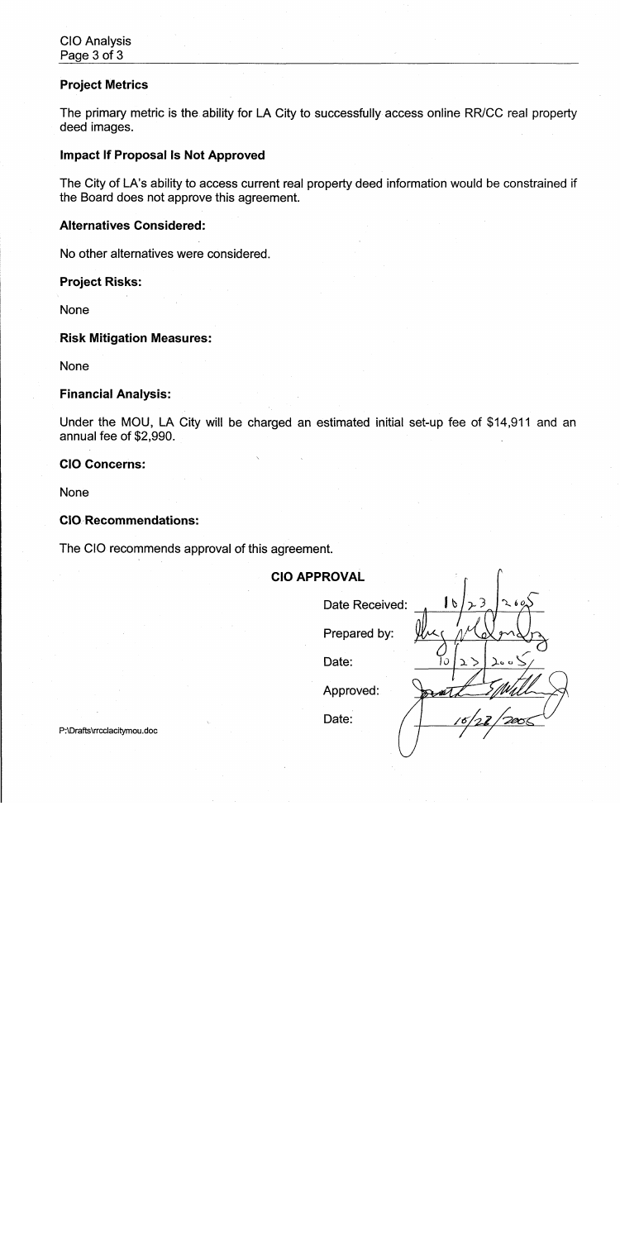### **Project Metrics**

The primary metric is the ability for LA City to successfully access online RR/CC real property deed images.

### **Impact If Proposal Is Not Approved**

The City of LA's ability to access current real property deed information would be constrained if the Board does not approve this agreement.

### **Alternatives Considered:**

No other alternatives were considered.

### **Project Risks:**

**None** 

### **Risk Mitigation Measures:**

None

### **Financial Analysis:**

Under the MOU, LA City will be charged an estimated initial set-up fee of \$14,911 and an annual fee of \$2,990.

### **CIO Concerns:**

**None** 

### **CIO Recommendations:**

The CIO recommends approval of this agreement.

### **CIO APPROVAL**

| Date Received: | $\frac{1}{2}$ | 23  | 260                    |
|----------------|---------------|-----|------------------------|
| Prepared by:   |               |     |                        |
| Date:          | $\ddot{o}$    | コフ  | $\int_0^\infty \sigma$ |
| Approved:      |               |     |                        |
| Date:          |               | 16. |                        |

 $\bigcap$ 

P:\Drafts\rrcclacitymou.doc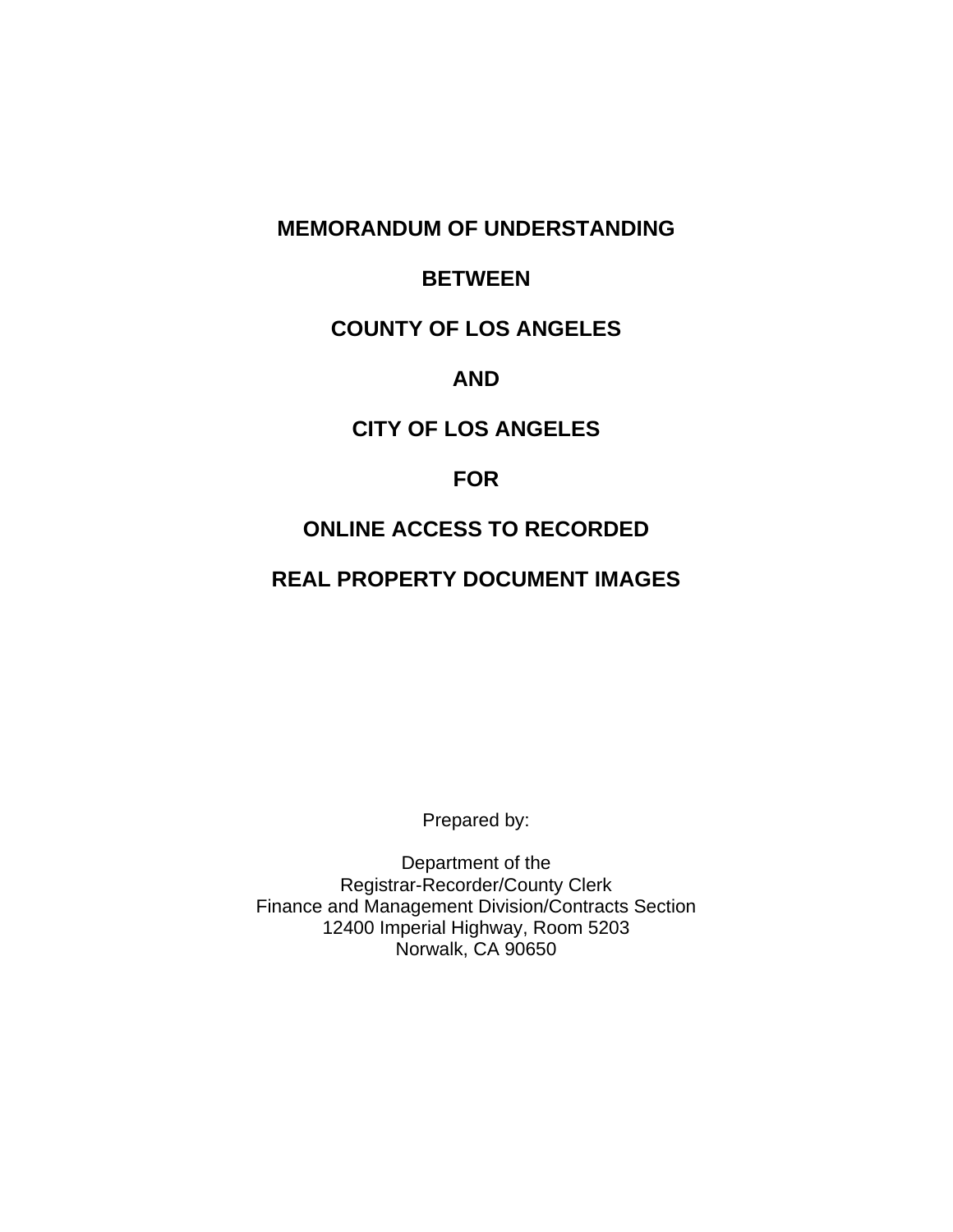## **MEMORANDUM OF UNDERSTANDING**

## **BETWEEN**

## **COUNTY OF LOS ANGELES**

## **AND**

## **CITY OF LOS ANGELES**

### **FOR**

## **ONLINE ACCESS TO RECORDED**

# **REAL PROPERTY DOCUMENT IMAGES**

Prepared by:

Department of the Registrar-Recorder/County Clerk Finance and Management Division/Contracts Section 12400 Imperial Highway, Room 5203 Norwalk, CA 90650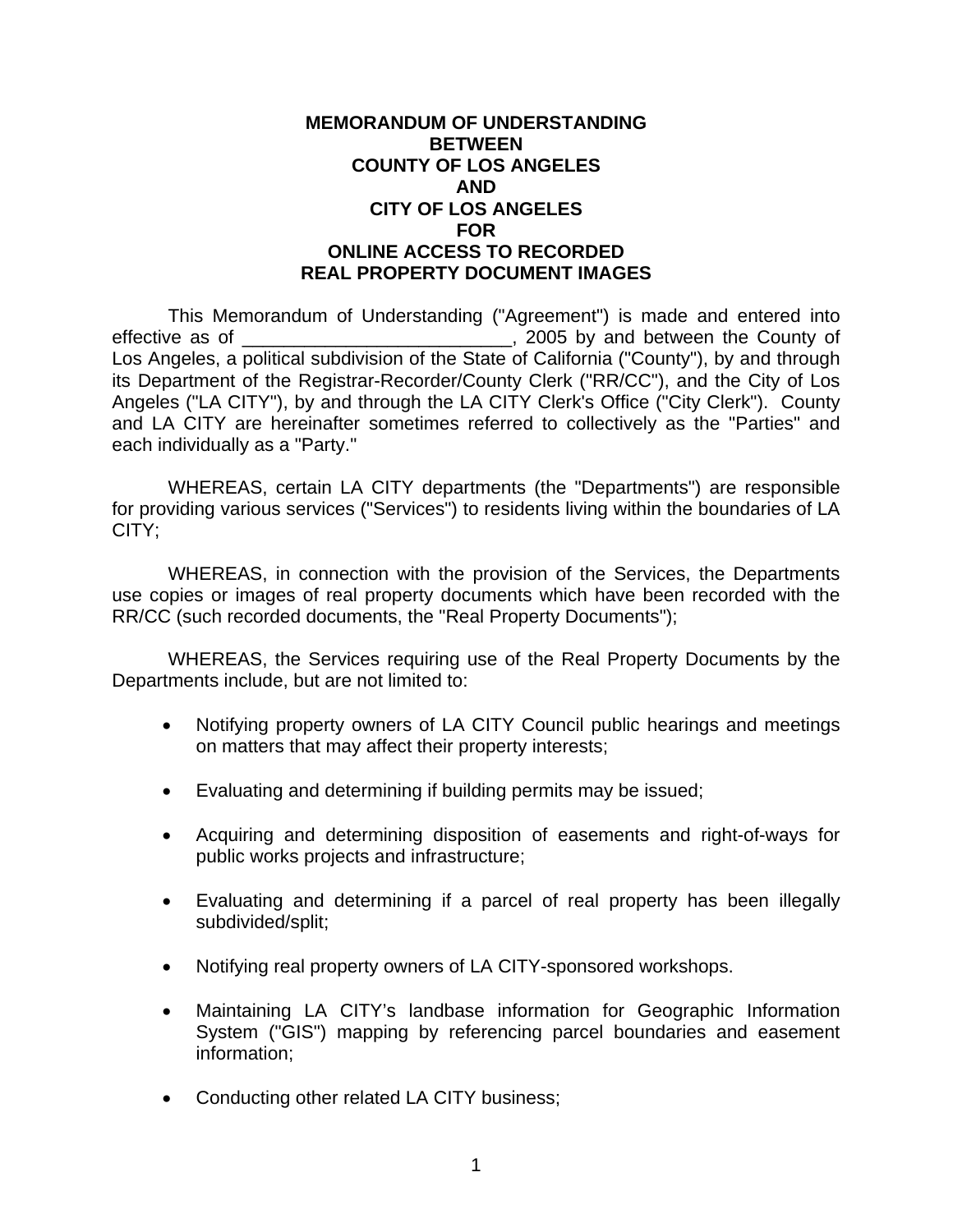### **MEMORANDUM OF UNDERSTANDING BETWEEN COUNTY OF LOS ANGELES AND CITY OF LOS ANGELES FOR ONLINE ACCESS TO RECORDED REAL PROPERTY DOCUMENT IMAGES**

 This Memorandum of Understanding ("Agreement") is made and entered into effective as of \_\_\_\_\_\_\_\_\_\_\_\_\_\_\_\_\_\_\_\_\_\_\_\_\_\_\_\_\_\_\_\_, 2005 by and between the County of Los Angeles, a political subdivision of the State of California ("County"), by and through its Department of the Registrar-Recorder/County Clerk ("RR/CC"), and the City of Los Angeles ("LA CITY"), by and through the LA CITY Clerk's Office ("City Clerk"). County and LA CITY are hereinafter sometimes referred to collectively as the "Parties" and each individually as a "Party."

 WHEREAS, certain LA CITY departments (the "Departments") are responsible for providing various services ("Services") to residents living within the boundaries of LA CITY;

 WHEREAS, in connection with the provision of the Services, the Departments use copies or images of real property documents which have been recorded with the RR/CC (such recorded documents, the "Real Property Documents");

 WHEREAS, the Services requiring use of the Real Property Documents by the Departments include, but are not limited to:

- Notifying property owners of LA CITY Council public hearings and meetings on matters that may affect their property interests;
- Evaluating and determining if building permits may be issued;
- Acquiring and determining disposition of easements and right-of-ways for public works projects and infrastructure;
- Evaluating and determining if a parcel of real property has been illegally subdivided/split;
- Notifying real property owners of LA CITY-sponsored workshops.
- Maintaining LA CITY's landbase information for Geographic Information System ("GIS") mapping by referencing parcel boundaries and easement information;
- Conducting other related LA CITY business;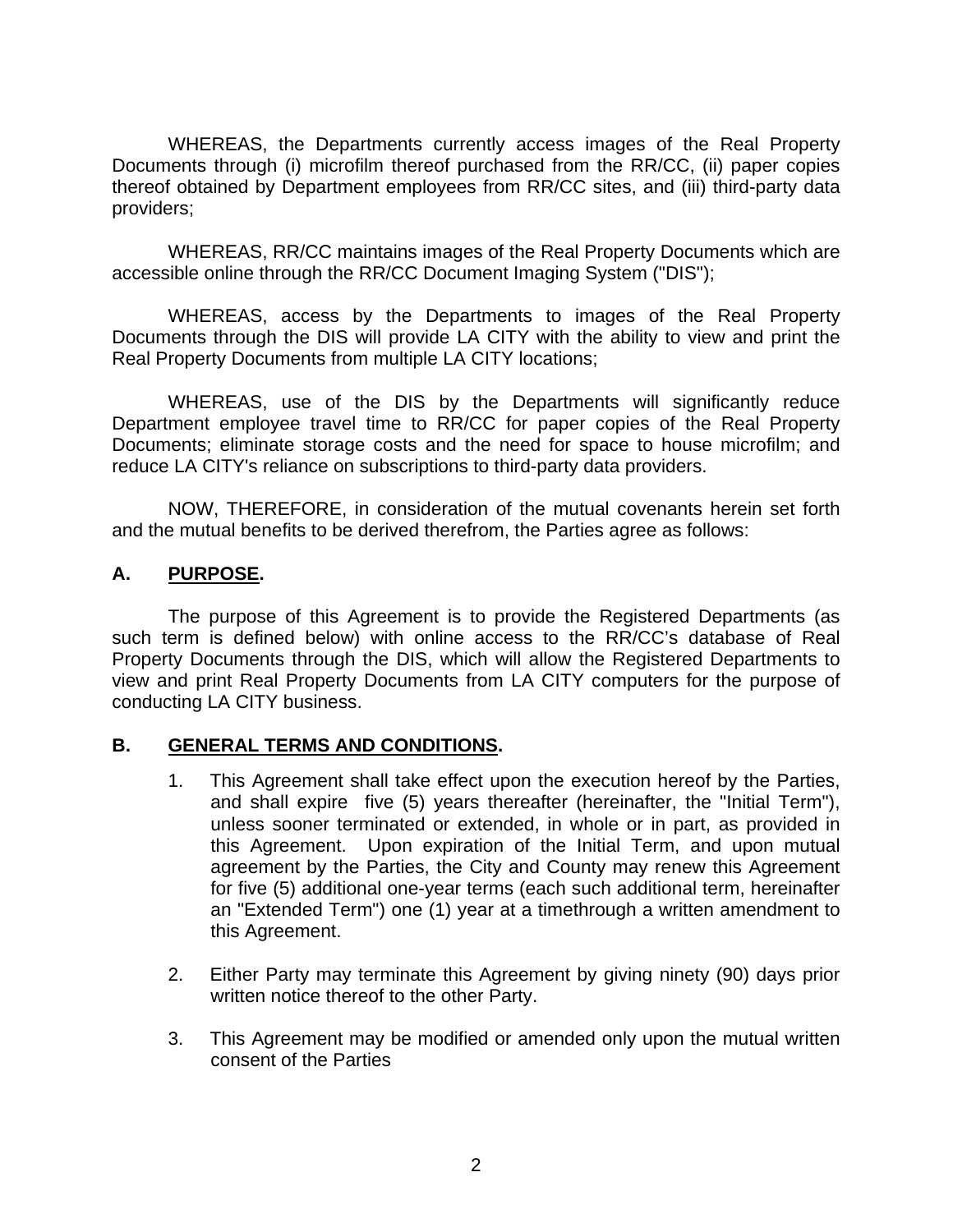WHEREAS, the Departments currently access images of the Real Property Documents through (i) microfilm thereof purchased from the RR/CC, (ii) paper copies thereof obtained by Department employees from RR/CC sites, and (iii) third-party data providers;

 WHEREAS, RR/CC maintains images of the Real Property Documents which are accessible online through the RR/CC Document Imaging System ("DIS");

 WHEREAS, access by the Departments to images of the Real Property Documents through the DIS will provide LA CITY with the ability to view and print the Real Property Documents from multiple LA CITY locations;

 WHEREAS, use of the DIS by the Departments will significantly reduce Department employee travel time to RR/CC for paper copies of the Real Property Documents; eliminate storage costs and the need for space to house microfilm; and reduce LA CITY's reliance on subscriptions to third-party data providers.

 NOW, THEREFORE, in consideration of the mutual covenants herein set forth and the mutual benefits to be derived therefrom, the Parties agree as follows:

### **A. PURPOSE.**

The purpose of this Agreement is to provide the Registered Departments (as such term is defined below) with online access to the RR/CC's database of Real Property Documents through the DIS, which will allow the Registered Departments to view and print Real Property Documents from LA CITY computers for the purpose of conducting LA CITY business.

### **B. GENERAL TERMS AND CONDITIONS.**

- 1. This Agreement shall take effect upon the execution hereof by the Parties, and shall expire five (5) years thereafter (hereinafter, the "Initial Term"), unless sooner terminated or extended, in whole or in part, as provided in this Agreement. Upon expiration of the Initial Term, and upon mutual agreement by the Parties, the City and County may renew this Agreement for five (5) additional one-year terms (each such additional term, hereinafter an "Extended Term") one (1) year at a timethrough a written amendment to this Agreement.
- 2. Either Party may terminate this Agreement by giving ninety (90) days prior written notice thereof to the other Party.
- 3. This Agreement may be modified or amended only upon the mutual written consent of the Parties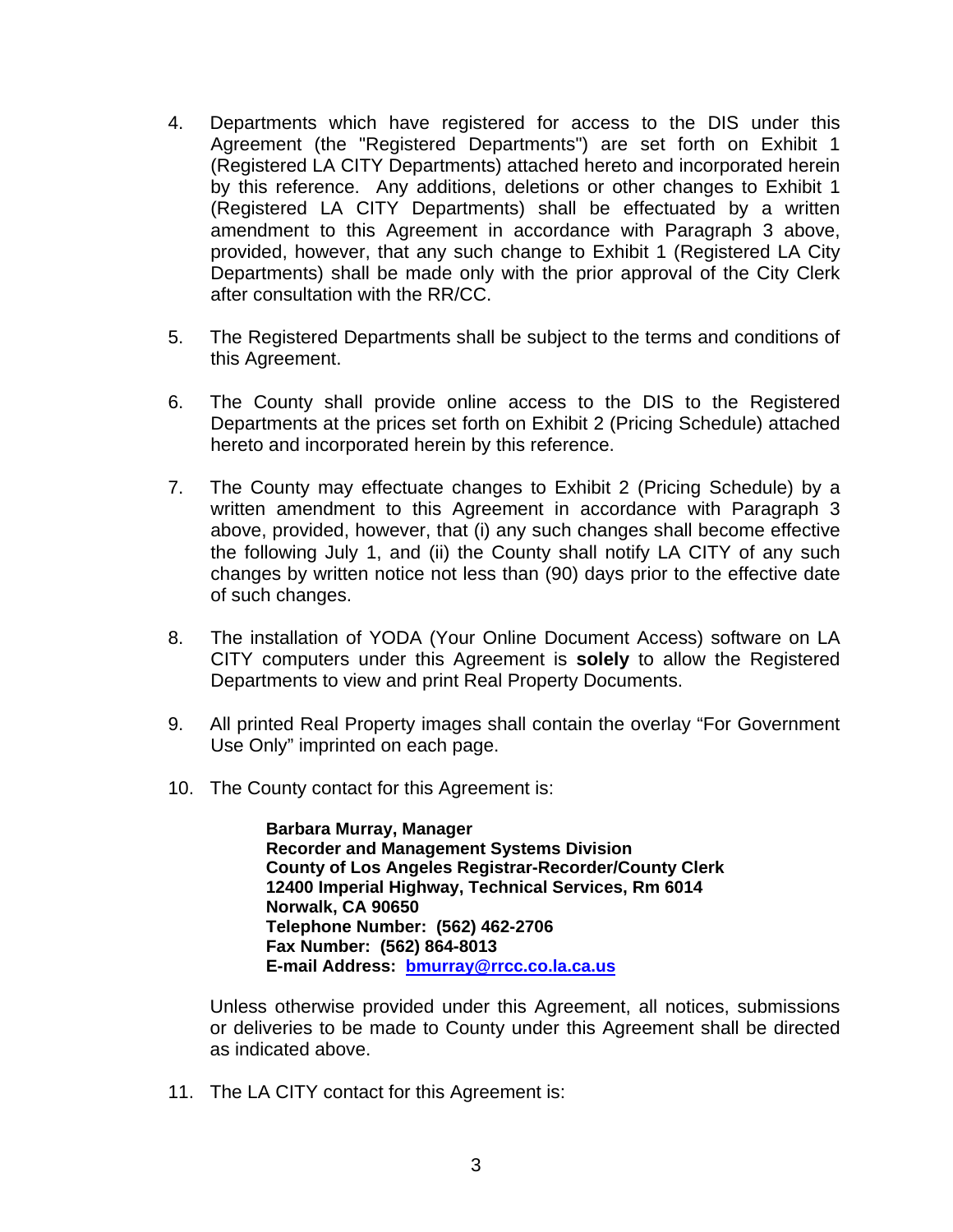- 4. Departments which have registered for access to the DIS under this Agreement (the "Registered Departments") are set forth on Exhibit 1 (Registered LA CITY Departments) attached hereto and incorporated herein by this reference. Any additions, deletions or other changes to Exhibit 1 (Registered LA CITY Departments) shall be effectuated by a written amendment to this Agreement in accordance with Paragraph 3 above, provided, however, that any such change to Exhibit 1 (Registered LA City Departments) shall be made only with the prior approval of the City Clerk after consultation with the RR/CC.
- 5. The Registered Departments shall be subject to the terms and conditions of this Agreement.
- 6. The County shall provide online access to the DIS to the Registered Departments at the prices set forth on Exhibit 2 (Pricing Schedule) attached hereto and incorporated herein by this reference.
- 7. The County may effectuate changes to Exhibit 2 (Pricing Schedule) by a written amendment to this Agreement in accordance with Paragraph 3 above, provided, however, that (i) any such changes shall become effective the following July 1, and (ii) the County shall notify LA CITY of any such changes by written notice not less than (90) days prior to the effective date of such changes.
- 8. The installation of YODA (Your Online Document Access) software on LA CITY computers under this Agreement is **solely** to allow the Registered Departments to view and print Real Property Documents.
- 9. All printed Real Property images shall contain the overlay "For Government Use Only" imprinted on each page.
- 10. The County contact for this Agreement is:

**Barbara Murray, Manager Recorder and Management Systems Division County of Los Angeles Registrar-Recorder/County Clerk 12400 Imperial Highway, Technical Services, Rm 6014 Norwalk, CA 90650 Telephone Number: (562) 462-2706 Fax Number: (562) 864-8013 E-mail Address: bmurray@rrcc.co.la.ca.us**

Unless otherwise provided under this Agreement, all notices, submissions or deliveries to be made to County under this Agreement shall be directed as indicated above.

11. The LA CITY contact for this Agreement is: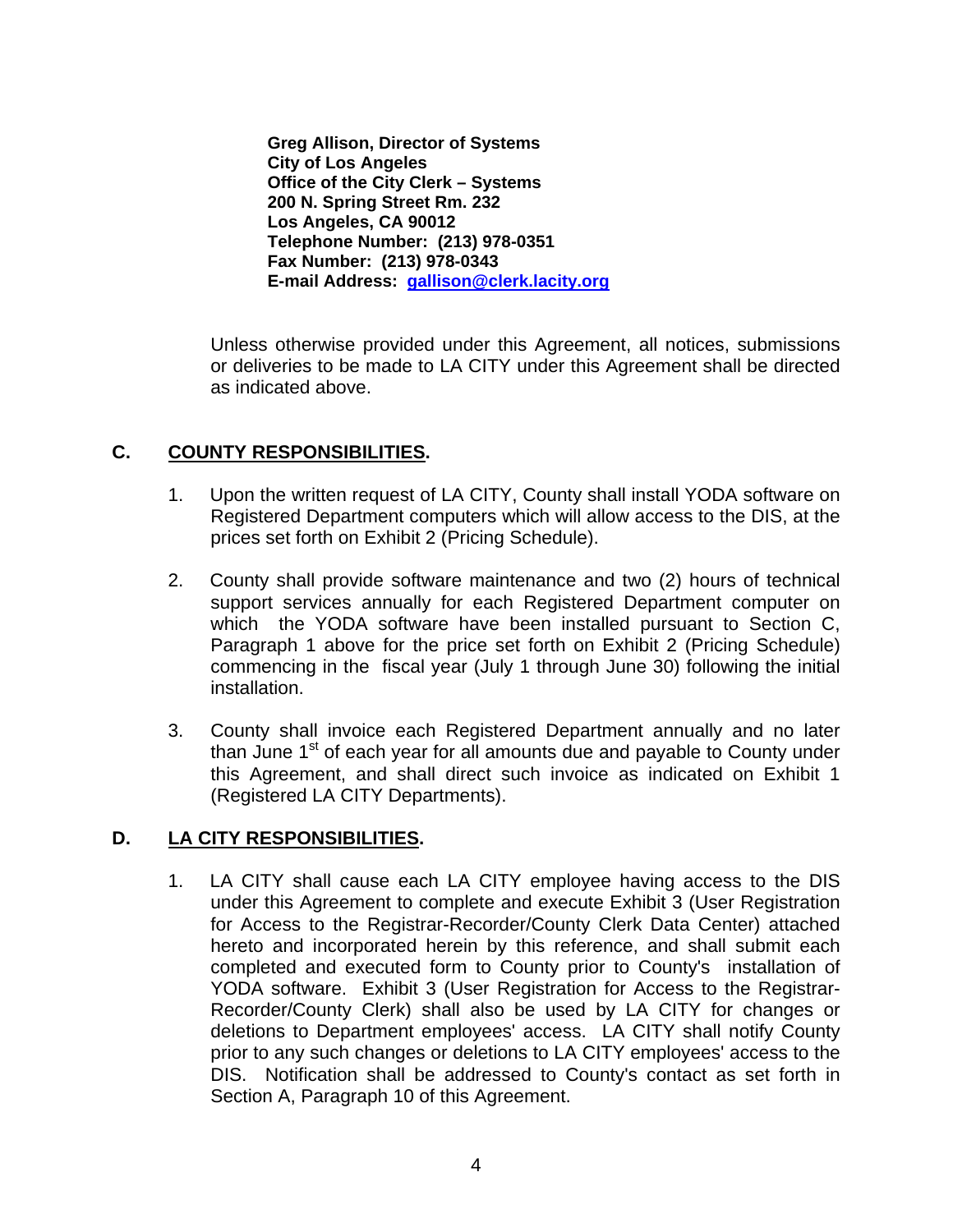**Greg Allison, Director of Systems City of Los Angeles Office of the City Clerk – Systems 200 N. Spring Street Rm. 232 Los Angeles, CA 90012 Telephone Number: (213) 978-0351 Fax Number: (213) 978-0343 E-mail Address: gallison@clerk.lacity.org**

Unless otherwise provided under this Agreement, all notices, submissions or deliveries to be made to LA CITY under this Agreement shall be directed as indicated above.

## **C. COUNTY RESPONSIBILITIES.**

- 1. Upon the written request of LA CITY, County shall install YODA software on Registered Department computers which will allow access to the DIS, at the prices set forth on Exhibit 2 (Pricing Schedule).
- 2. County shall provide software maintenance and two (2) hours of technical support services annually for each Registered Department computer on which the YODA software have been installed pursuant to Section C, Paragraph 1 above for the price set forth on Exhibit 2 (Pricing Schedule) commencing in the fiscal year (July 1 through June 30) following the initial installation.
- 3. County shall invoice each Registered Department annually and no later than June 1<sup>st</sup> of each year for all amounts due and payable to County under this Agreement, and shall direct such invoice as indicated on Exhibit 1 (Registered LA CITY Departments).

## **D. LA CITY RESPONSIBILITIES.**

1. LA CITY shall cause each LA CITY employee having access to the DIS under this Agreement to complete and execute Exhibit 3 (User Registration for Access to the Registrar-Recorder/County Clerk Data Center) attached hereto and incorporated herein by this reference, and shall submit each completed and executed form to County prior to County's installation of YODA software. Exhibit 3 (User Registration for Access to the Registrar-Recorder/County Clerk) shall also be used by LA CITY for changes or deletions to Department employees' access. LA CITY shall notify County prior to any such changes or deletions to LA CITY employees' access to the DIS. Notification shall be addressed to County's contact as set forth in Section A, Paragraph 10 of this Agreement.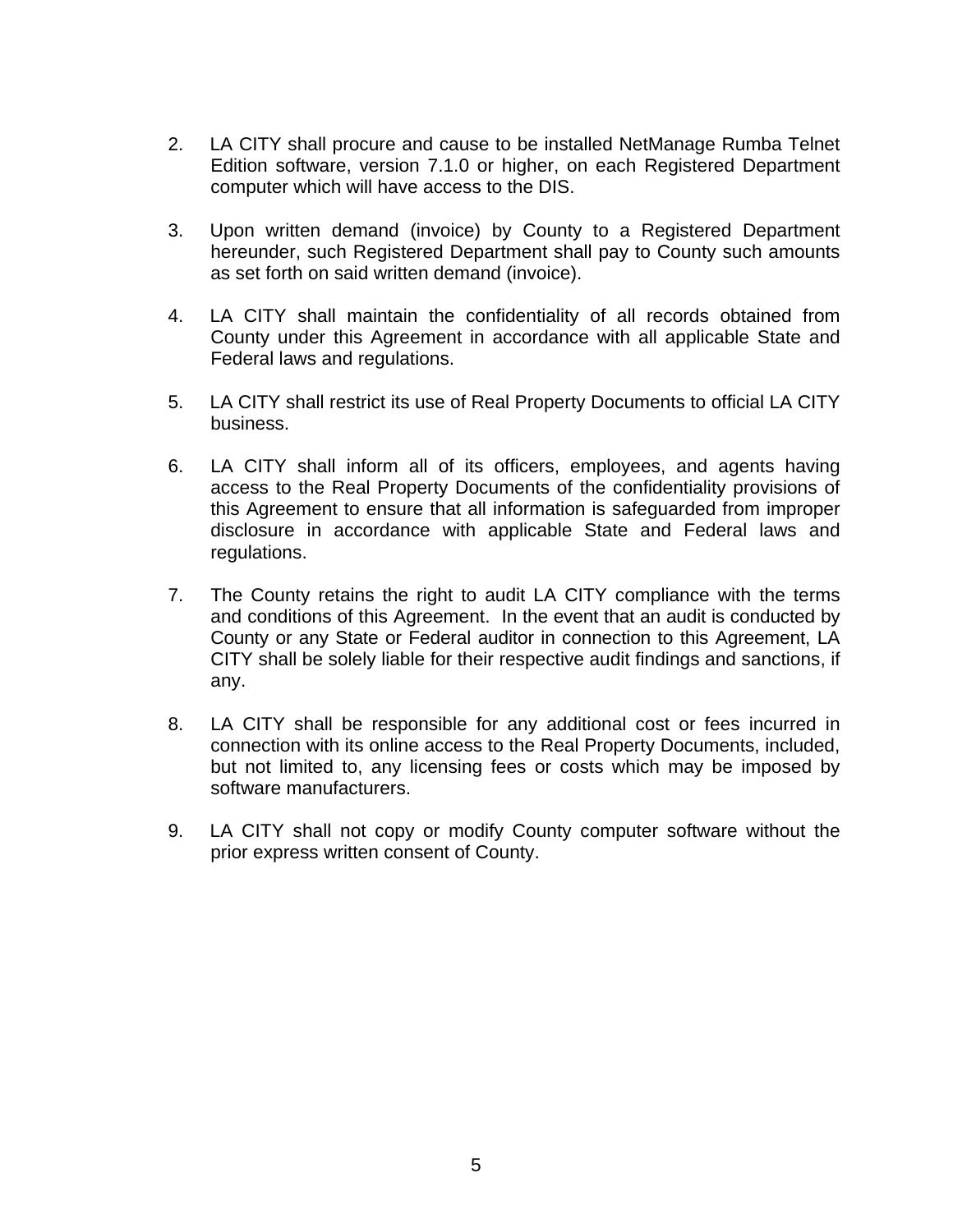- 2. LA CITY shall procure and cause to be installed NetManage Rumba Telnet Edition software, version 7.1.0 or higher, on each Registered Department computer which will have access to the DIS.
- 3. Upon written demand (invoice) by County to a Registered Department hereunder, such Registered Department shall pay to County such amounts as set forth on said written demand (invoice).
- 4. LA CITY shall maintain the confidentiality of all records obtained from County under this Agreement in accordance with all applicable State and Federal laws and regulations.
- 5. LA CITY shall restrict its use of Real Property Documents to official LA CITY business.
- 6. LA CITY shall inform all of its officers, employees, and agents having access to the Real Property Documents of the confidentiality provisions of this Agreement to ensure that all information is safeguarded from improper disclosure in accordance with applicable State and Federal laws and regulations.
- 7. The County retains the right to audit LA CITY compliance with the terms and conditions of this Agreement. In the event that an audit is conducted by County or any State or Federal auditor in connection to this Agreement, LA CITY shall be solely liable for their respective audit findings and sanctions, if any.
- 8. LA CITY shall be responsible for any additional cost or fees incurred in connection with its online access to the Real Property Documents, included, but not limited to, any licensing fees or costs which may be imposed by software manufacturers.
- 9. LA CITY shall not copy or modify County computer software without the prior express written consent of County.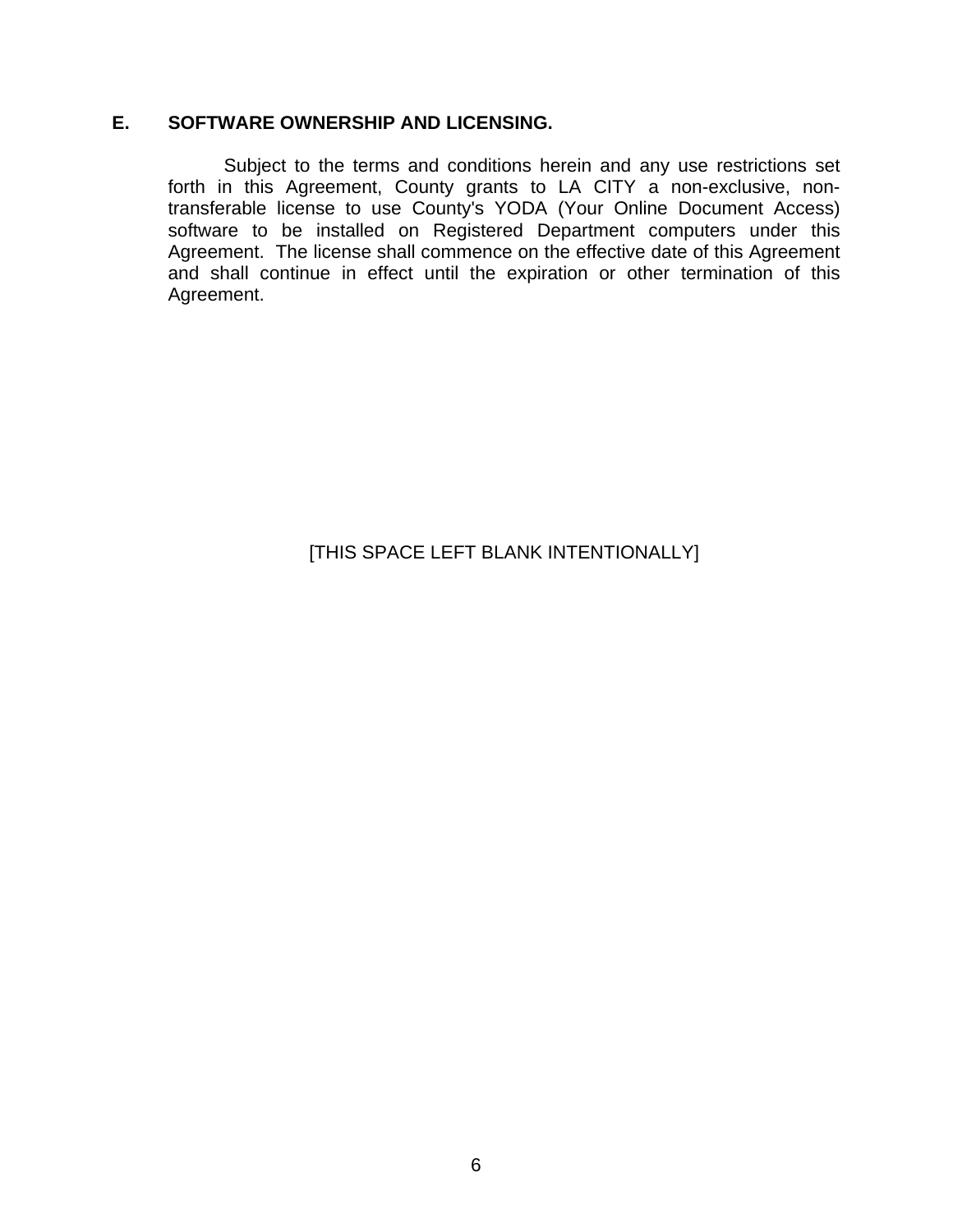## **E. SOFTWARE OWNERSHIP AND LICENSING.**

Subject to the terms and conditions herein and any use restrictions set forth in this Agreement, County grants to LA CITY a non-exclusive, nontransferable license to use County's YODA (Your Online Document Access) software to be installed on Registered Department computers under this Agreement. The license shall commence on the effective date of this Agreement and shall continue in effect until the expiration or other termination of this Agreement.

[THIS SPACE LEFT BLANK INTENTIONALLY]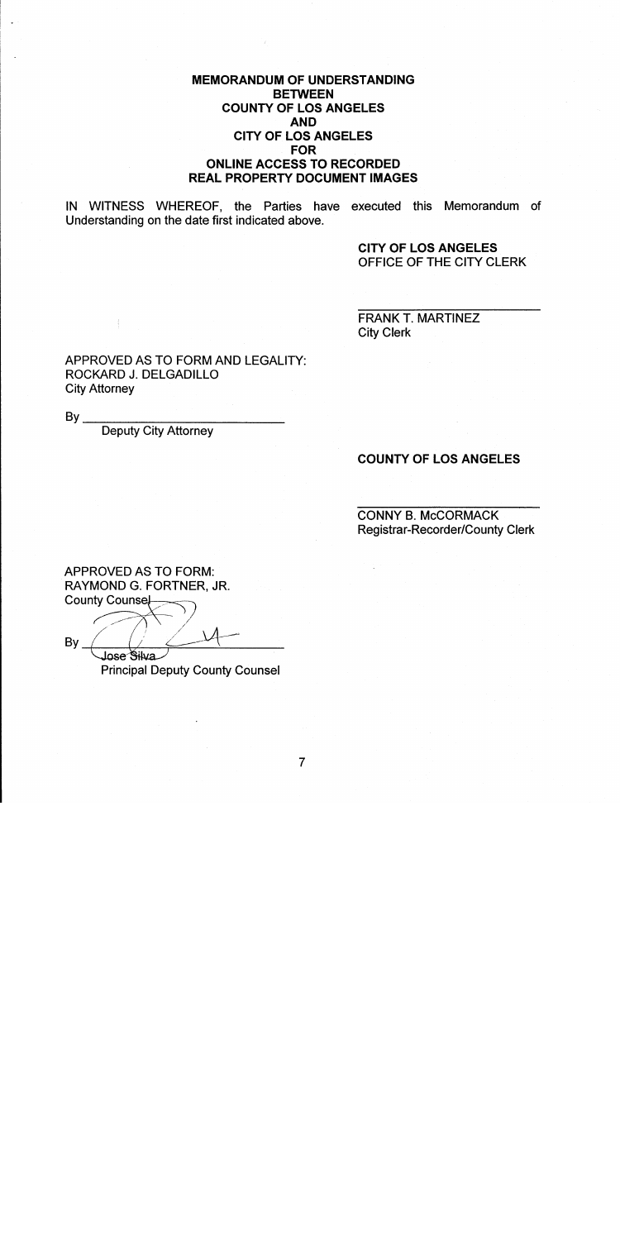### **MEMORANDUM OF UNDERSTANDING BETWEEN COUNTY OF LOS ANGELES AND CITY OF LOS ANGELES FOR ONLINE ACCESS TO RECORDED REAL PROPERTY DOCUMENT IMAGES**

IN WITNESS WHEREOF, the Parties have executed this Memorandum of Understanding on the date first indicated above.

> **CITY OF LOS ANGELES** OFFICE OF THE CITY CLERK

**FRANK T. MARTINEZ City Clerk** 

APPROVED AS TO FORM AND LEGALITY: ROCKARD J. DELGADILLO **City Attorney** 

 $By_$ 

**Deputy City Attorney** 

#### **COUNTY OF LOS ANGELES**

**CONNY B. McCORMACK Registrar-Recorder/County Clerk** 

**APPROVED AS TO FORM:** RAYMOND G. FORTNER, JR. **County Counse** 

By. Jose Silva

**Principal Deputy County Counsel**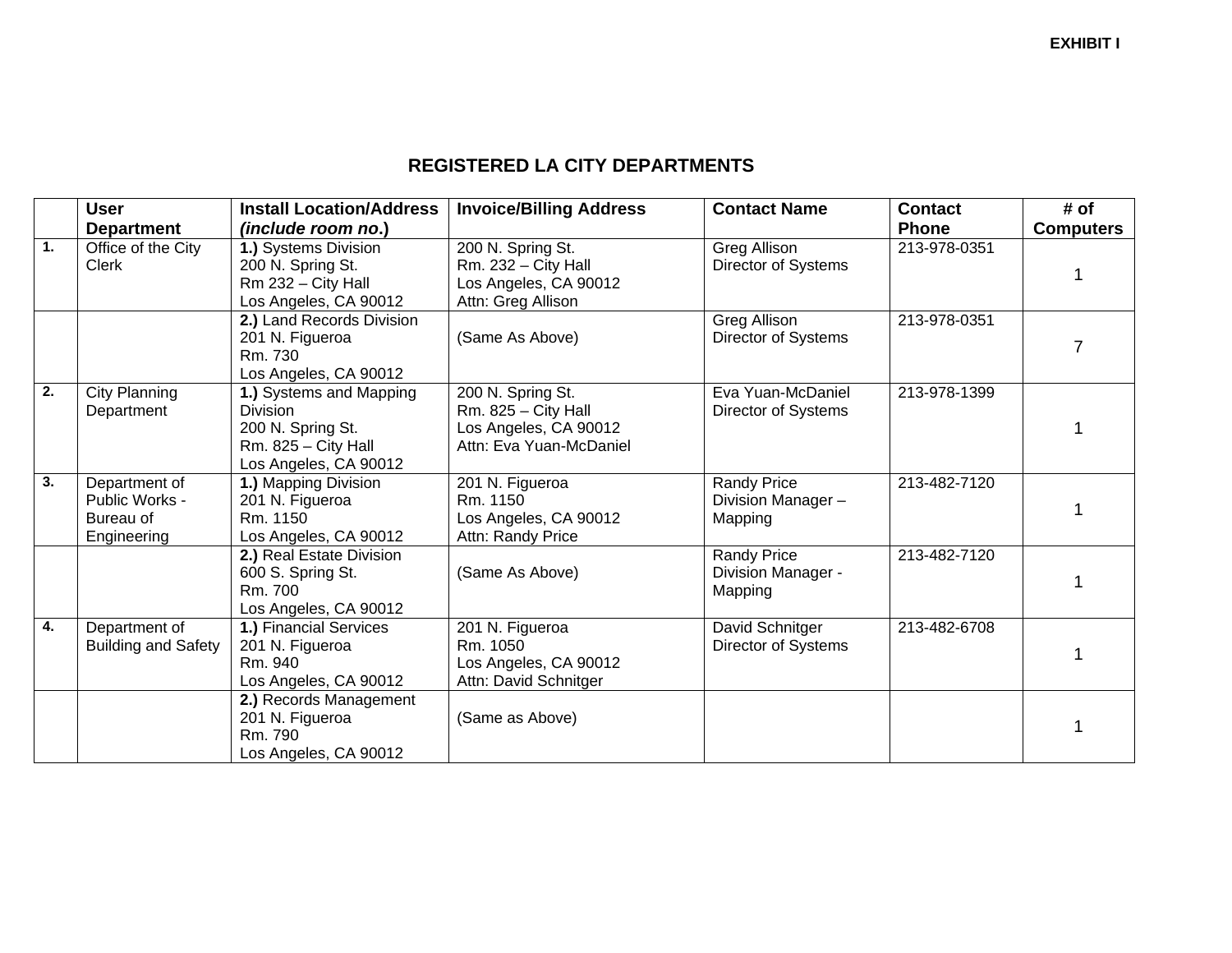### **REGISTERED LA CITY DEPARTMENTS**

|                  | <b>User</b>                                                 | <b>Install Location/Address</b>                                                                                   | <b>Invoice/Billing Address</b>                                                                 | <b>Contact Name</b>                                 | <b>Contact</b> | # of             |
|------------------|-------------------------------------------------------------|-------------------------------------------------------------------------------------------------------------------|------------------------------------------------------------------------------------------------|-----------------------------------------------------|----------------|------------------|
|                  | <b>Department</b>                                           | (include room no.)                                                                                                |                                                                                                |                                                     | <b>Phone</b>   | <b>Computers</b> |
| $\overline{1}$ . | Office of the City<br><b>Clerk</b>                          | 1.) Systems Division<br>200 N. Spring St.<br>Rm 232 - City Hall<br>Los Angeles, CA 90012                          | 200 N. Spring St.<br>Rm. 232 - City Hall<br>Los Angeles, CA 90012<br>Attn: Greg Allison        | Greg Allison<br>Director of Systems                 | 213-978-0351   |                  |
|                  |                                                             | 2.) Land Records Division<br>201 N. Figueroa<br>Rm. 730<br>Los Angeles, CA 90012                                  | (Same As Above)                                                                                | <b>Greg Allison</b><br><b>Director of Systems</b>   | 213-978-0351   |                  |
| $\overline{2}$ . | <b>City Planning</b><br>Department                          | 1.) Systems and Mapping<br><b>Division</b><br>200 N. Spring St.<br>$Rm. 825 - City Hall$<br>Los Angeles, CA 90012 | 200 N. Spring St.<br>$Rm. 825 - City Hall$<br>Los Angeles, CA 90012<br>Attn: Eva Yuan-McDaniel | Eva Yuan-McDaniel<br>Director of Systems            | 213-978-1399   |                  |
| $\overline{3}$ . | Department of<br>Public Works -<br>Bureau of<br>Engineering | 1.) Mapping Division<br>201 N. Figueroa<br>Rm. 1150<br>Los Angeles, CA 90012                                      | 201 N. Figueroa<br>Rm. 1150<br>Los Angeles, CA 90012<br>Attn: Randy Price                      | <b>Randy Price</b><br>Division Manager -<br>Mapping | 213-482-7120   |                  |
|                  |                                                             | 2.) Real Estate Division<br>600 S. Spring St.<br>Rm. 700<br>Los Angeles, CA 90012                                 | (Same As Above)                                                                                | <b>Randy Price</b><br>Division Manager -<br>Mapping | 213-482-7120   |                  |
| $\overline{4}$ . | Department of<br><b>Building and Safety</b>                 | 1.) Financial Services<br>201 N. Figueroa<br>Rm. 940<br>Los Angeles, CA 90012                                     | 201 N. Figueroa<br>Rm. 1050<br>Los Angeles, CA 90012<br>Attn: David Schnitger                  | David Schnitger<br>Director of Systems              | 213-482-6708   |                  |
|                  |                                                             | 2.) Records Management<br>201 N. Figueroa<br>Rm. 790<br>Los Angeles, CA 90012                                     | (Same as Above)                                                                                |                                                     |                |                  |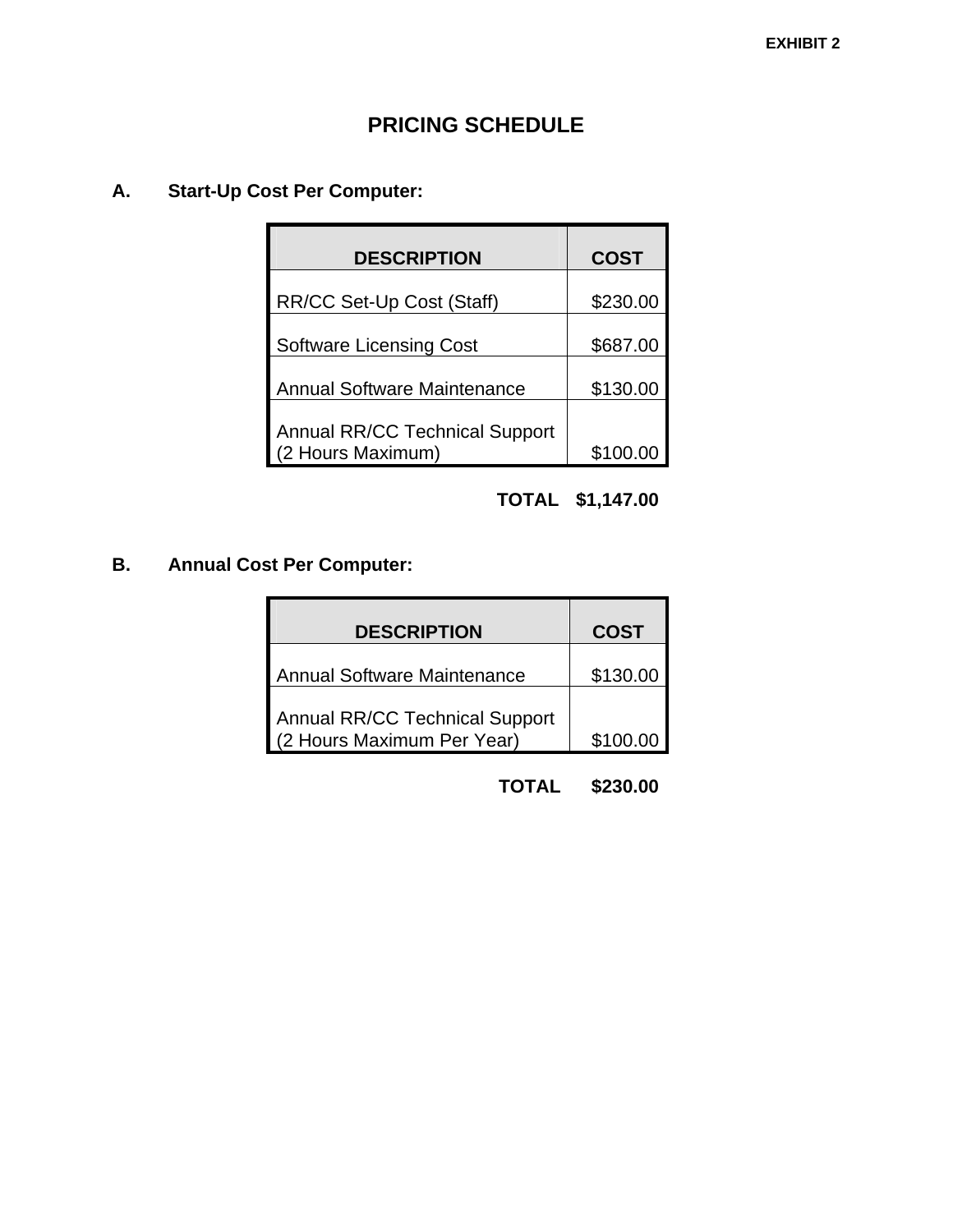# **PRICING SCHEDULE**

## **A. Start-Up Cost Per Computer:**

| <b>DESCRIPTION</b>                    | <b>COST</b> |
|---------------------------------------|-------------|
| RR/CC Set-Up Cost (Staff)             | \$230.00    |
| <b>Software Licensing Cost</b>        | \$687.00    |
| <b>Annual Software Maintenance</b>    | \$130.00    |
| <b>Annual RR/CC Technical Support</b> |             |
| (2 Hours Maximum)                     | \$100.00    |

## **TOTAL \$1,147.00**

## **B. Annual Cost Per Computer:**

| <b>DESCRIPTION</b>                                           | <b>COST</b> |  |  |
|--------------------------------------------------------------|-------------|--|--|
| Annual Software Maintenance                                  | \$130.00    |  |  |
| Annual RR/CC Technical Support<br>(2 Hours Maximum Per Year) | \$100.00    |  |  |

## **TOTAL \$230.00**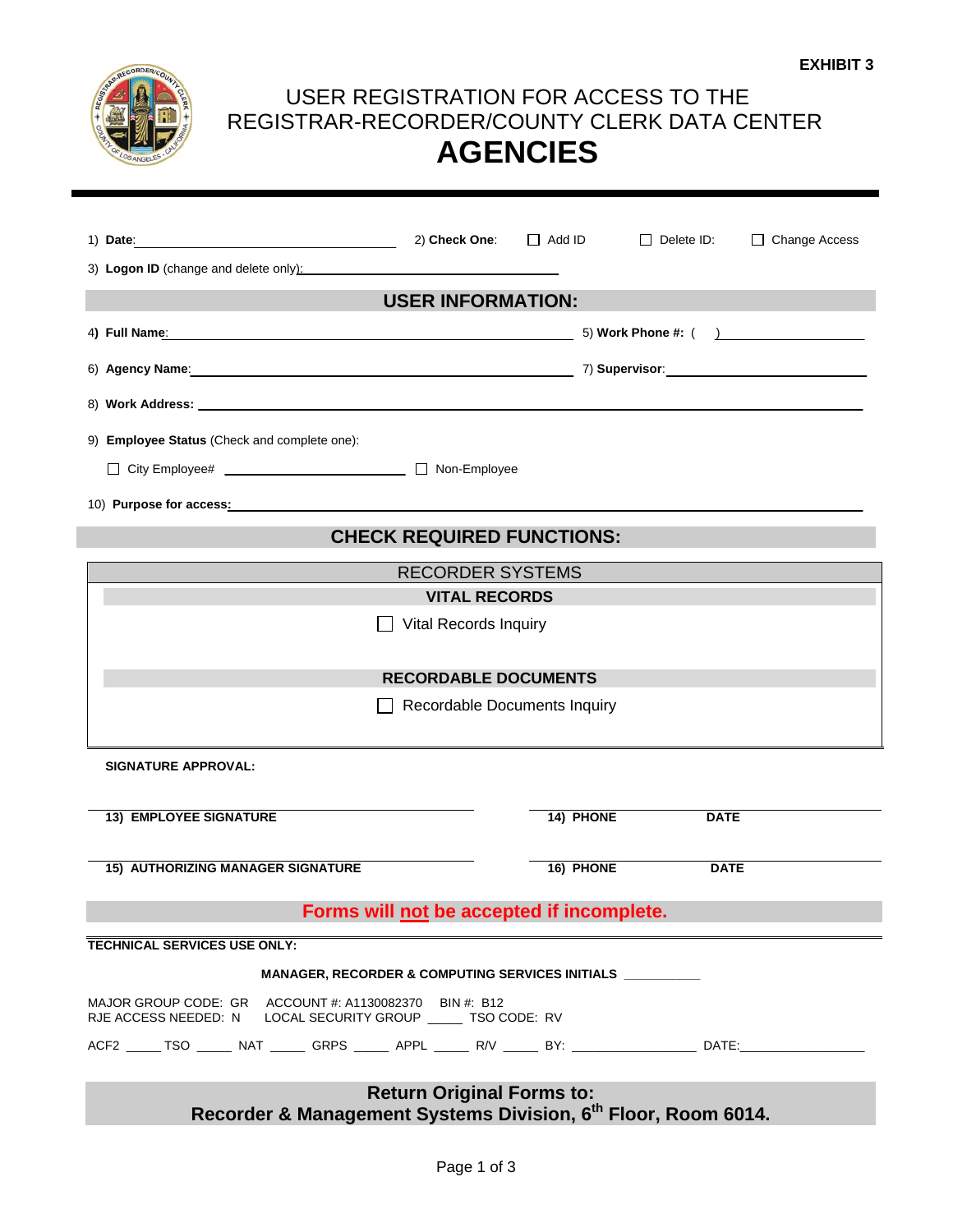

# USER REGISTRATION FOR ACCESS TO THE REGISTRAR-RECORDER/COUNTY CLERK DATA CENTER **AGENCIES**

|                                                                                                                                                                                                                               | 2) Check One:                | $\Box$ Add ID                    | $\Box$ Delete ID: | $\Box$ Change Access |  |
|-------------------------------------------------------------------------------------------------------------------------------------------------------------------------------------------------------------------------------|------------------------------|----------------------------------|-------------------|----------------------|--|
| 3) Logon ID (change and delete only):                                                                                                                                                                                         |                              |                                  |                   |                      |  |
|                                                                                                                                                                                                                               | <b>USER INFORMATION:</b>     |                                  |                   |                      |  |
| 4) Full Name: the contract of the contract of the contract of the contract of the contract of the contract of the contract of the contract of the contract of the contract of the contract of the contract of the contract of |                              |                                  |                   | 5) Work Phone #: ( ) |  |
|                                                                                                                                                                                                                               |                              |                                  |                   |                      |  |
|                                                                                                                                                                                                                               |                              |                                  |                   |                      |  |
| 9) Employee Status (Check and complete one):                                                                                                                                                                                  |                              |                                  |                   |                      |  |
| □ City Employee# ________________________________ □ Non-Employee                                                                                                                                                              |                              |                                  |                   |                      |  |
| 10) Purpose for access: Manual Communication of Purpose for access:                                                                                                                                                           |                              |                                  |                   |                      |  |
|                                                                                                                                                                                                                               |                              | <b>CHECK REQUIRED FUNCTIONS:</b> |                   |                      |  |
|                                                                                                                                                                                                                               | <b>RECORDER SYSTEMS</b>      |                                  |                   |                      |  |
|                                                                                                                                                                                                                               | <b>VITAL RECORDS</b>         |                                  |                   |                      |  |
|                                                                                                                                                                                                                               | <b>Vital Records Inquiry</b> |                                  |                   |                      |  |
|                                                                                                                                                                                                                               | <b>RECORDABLE DOCUMENTS</b>  |                                  |                   |                      |  |
| Recordable Documents Inquiry                                                                                                                                                                                                  |                              |                                  |                   |                      |  |
| <b>SIGNATURE APPROVAL:</b>                                                                                                                                                                                                    |                              |                                  |                   |                      |  |
| <b>13) EMPLOYEE SIGNATURE</b>                                                                                                                                                                                                 |                              | 14) PHONE                        | <b>DATE</b>       |                      |  |
|                                                                                                                                                                                                                               |                              |                                  |                   |                      |  |
| <b>15) AUTHORIZING MANAGER SIGNATURE</b>                                                                                                                                                                                      |                              | 16) PHONE                        | <b>DATE</b>       |                      |  |
| Forms will not be accepted if incomplete.                                                                                                                                                                                     |                              |                                  |                   |                      |  |
| <b>TECHNICAL SERVICES USE ONLY:</b>                                                                                                                                                                                           |                              |                                  |                   |                      |  |
| MANAGER, RECORDER & COMPUTING SERVICES INITIALS __________                                                                                                                                                                    |                              |                                  |                   |                      |  |
| MAJOR GROUP CODE: GR ACCOUNT #: A1130082370 BIN #: B12<br>RJE ACCESS NEEDED: N LOCAL SECURITY GROUP _____ TSO CODE: RV                                                                                                        |                              |                                  |                   |                      |  |
| ACF2 ______ TSO _______ NAT _______ GRPS ______ APPL ______ R/V ________BY: ____________________DATE:_______________                                                                                                          |                              |                                  |                   |                      |  |
| <b>Return Original Forms to:</b><br>Recorder & Management Systems Division, 6 <sup>th</sup> Floor, Room 6014.                                                                                                                 |                              |                                  |                   |                      |  |
|                                                                                                                                                                                                                               |                              |                                  |                   |                      |  |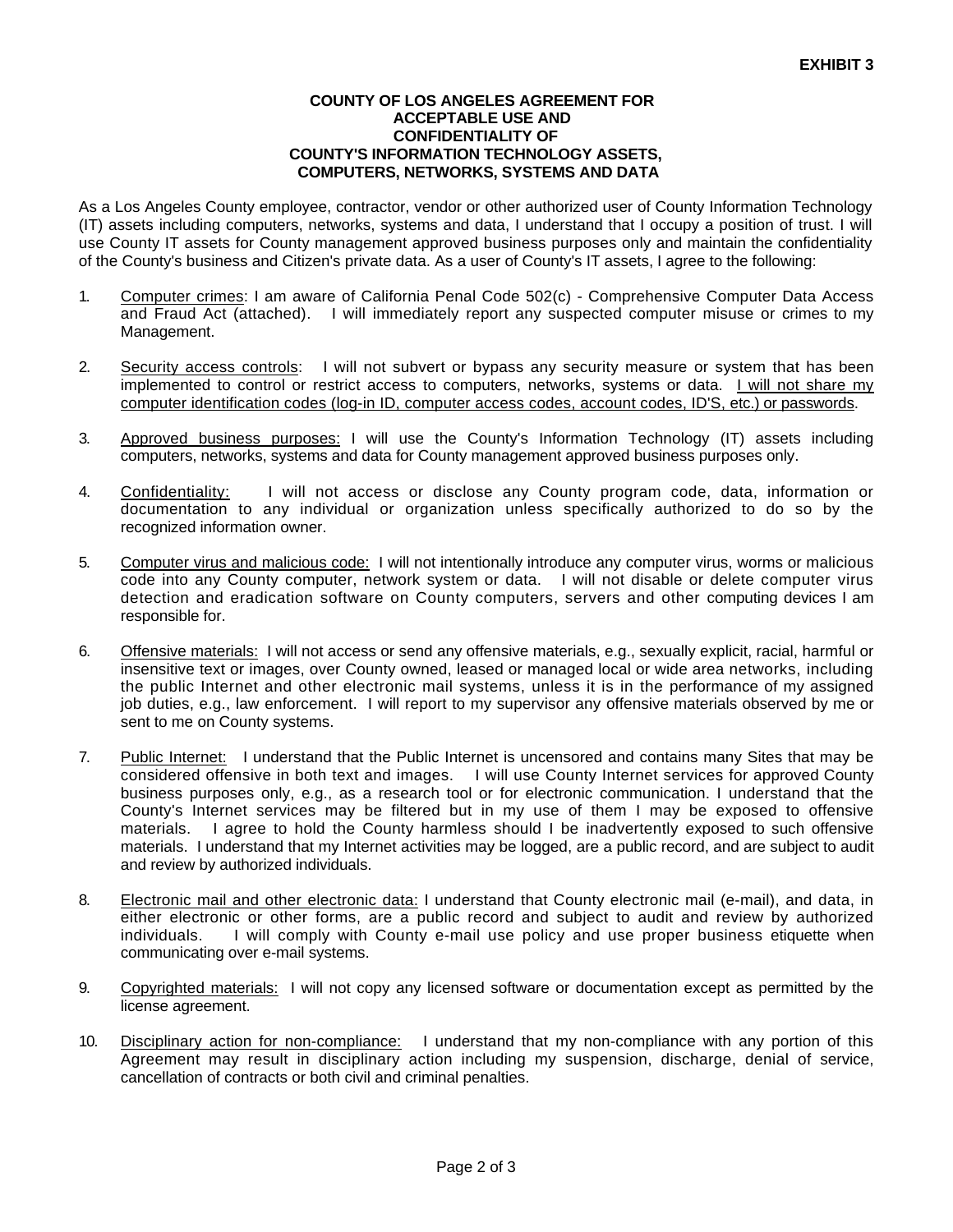#### **COUNTY OF LOS ANGELES AGREEMENT FOR ACCEPTABLE USE AND CONFIDENTIALITY OF COUNTY'S INFORMATION TECHNOLOGY ASSETS, COMPUTERS, NETWORKS, SYSTEMS AND DATA**

As a Los Angeles County employee, contractor, vendor or other authorized user of County Information Technology (IT) assets including computers, networks, systems and data, I understand that I occupy a position of trust. I will use County IT assets for County management approved business purposes only and maintain the confidentiality of the County's business and Citizen's private data. As a user of County's IT assets, I agree to the following:

- 1. Computer crimes: I am aware of California Penal Code 502(c) Comprehensive Computer Data Access and Fraud Act (attached). I will immediately report any suspected computer misuse or crimes to my Management.
- 2. Security access controls: I will not subvert or bypass any security measure or system that has been implemented to control or restrict access to computers, networks, systems or data. I will not share my computer identification codes (log-in ID, computer access codes, account codes, ID'S, etc.) or passwords.
- 3. Approved business purposes: I will use the County's Information Technology (IT) assets including computers, networks, systems and data for County management approved business purposes only.
- 4. Confidentiality: I will not access or disclose any County program code, data, information or documentation to any individual or organization unless specifically authorized to do so by the recognized information owner.
- 5. Computer virus and malicious code: I will not intentionally introduce any computer virus, worms or malicious code into any County computer, network system or data. I will not disable or delete computer virus detection and eradication software on County computers, servers and other computing devices I am responsible for.
- 6. Offensive materials: I will not access or send any offensive materials, e.g., sexually explicit, racial, harmful or insensitive text or images, over County owned, leased or managed local or wide area networks, including the public Internet and other electronic mail systems, unless it is in the performance of my assigned job duties, e.g., law enforcement. I will report to my supervisor any offensive materials observed by me or sent to me on County systems.
- 7. Public Internet: I understand that the Public Internet is uncensored and contains many Sites that may be considered offensive in both text and images. I will use County Internet services for approved County business purposes only, e.g., as a research tool or for electronic communication. I understand that the County's Internet services may be filtered but in my use of them I may be exposed to offensive materials. I agree to hold the County harmless should I be inadvertently exposed to such offensive materials. I understand that my Internet activities may be logged, are a public record, and are subject to audit and review by authorized individuals.
- 8. Electronic mail and other electronic data: I understand that County electronic mail (e-mail), and data, in either electronic or other forms, are a public record and subject to audit and review by authorized individuals. I will comply with County e-mail use policy and use proper business etiquette when communicating over e-mail systems.
- 9. Copyrighted materials: I will not copy any licensed software or documentation except as permitted by the license agreement.
- 10. Disciplinary action for non-compliance: I understand that my non-compliance with any portion of this Agreement may result in disciplinary action including my suspension, discharge, denial of service, cancellation of contracts or both civil and criminal penalties.